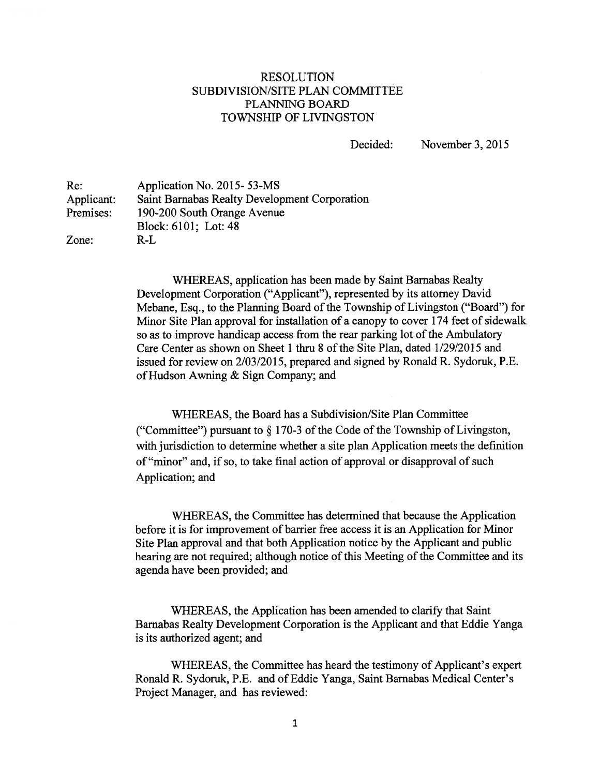## RESOLUTION SUBDIVISION/SITE PLAN COMMITTEE PLANNiNG BOARD TOWNSHIP OF LIVINGSTON

Decided: November 3, 2015

Re: Application No. 2015- 53-MS Applicant: Saint Barnabas Realty Development Corporation Premises: 190-200 South Orange Avenue Block: 6101; Lot: 48 Zone: R-L

> WHEREAS, application has been made by Saint Barnabas Realty Development Corporation ("Applicant"), represented by its attorney David Mebane, Esq., to the Planning Board of the Township of Livingston ("Board") for Minor Site Plan approval for installation of <sup>a</sup> canopy to cover 174 feet of sidewalk so as to improve handicap access from the rear parking lot of the Ambulatory Care Center as shown on Sheet 1 thru 8 of the Site Plan, dated 1/29/2015 and issued for review on 2/03/2015, prepared and signed by Ronald R. Sydoruk, P.E. of Hudson Awning & Sign Company; and

> WHEREAS, the Board has <sup>a</sup> Subdivision/Site Plan Committee ("Committee") pursuant to  $\S 170-3$  of the Code of the Township of Livingston, with jurisdiction to determine whether <sup>a</sup> site plan Application meets the definition of "minor" and, if so, to take final action of approval or disapproval of such Application; and

> WHEREAS, the Committee has determined that because the Application before it is for improvement of barrier free access it is an Application for Minor Site Plan approval and that both Application notice by the Applicant and public hearing are not required; although notice of this Meeting of the Committee and its agenda have been provided; and

> WHEREAS, the Application has been amended to clarify that Saint Barnabas Realty Development Corporation is the Applicant and that Eddie Yanga is its authorized agent; and

> WHEREAS, the Committee has heard the testimony of Applicant's exper<sup>t</sup> Ronald R. Sydoruk, P.E. and of Eddie Yanga, Saint Barnabas Medical Center's Project Manager, and has reviewed: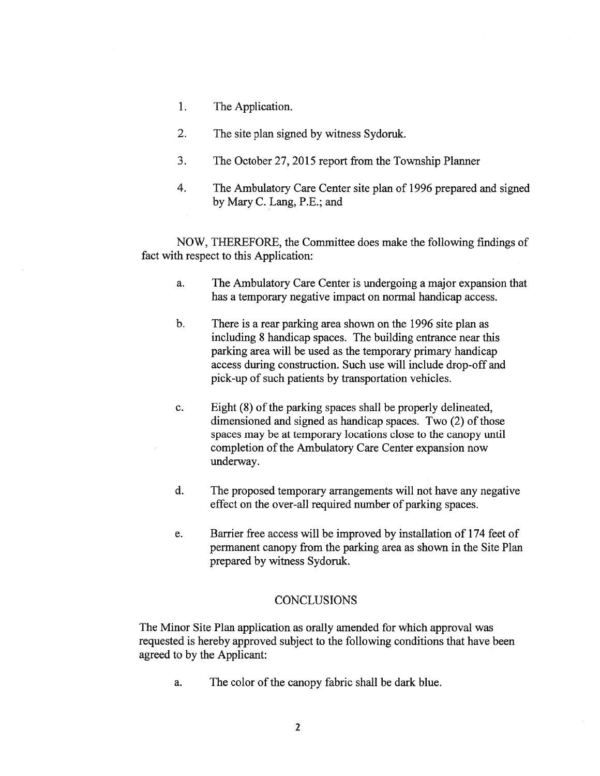- 1. The Application.
- 2. The site plan signed by witness Sydoruk.
- 3. The October 27, 2015 repor<sup>t</sup> from the Township Planner
- 4. The Ambulatory Care Center site plan of 1996 prepared and signed by Mary C. Lang, P.E.; and

NOW, THEREFORE, the Committee does make the following findings of fact with respec<sup>t</sup> to this Application:

- a. The Ambulatory Care Center is undergoing <sup>a</sup> major expansion that has <sup>a</sup> temporary negative impact on normal handicap access.
- b. There is <sup>a</sup> rear parking area shown on the 1996 site plan as including 8 handicap spaces. The building entrance near this parking area will be used as the temporary primary handicap access during construction. Such use will include drop-off and pick-up of such patients by transportation vehicles.
- c. Eight (8) of the parking spaces shall be properly delineated, dimensioned and signed as handicap spaces. Two  $(2)$  of those spaces may be at temporary locations close to the canopy until completion of the Ambulatory Care Center expansion now underway.
- d. The proposed temporary arrangements will not have any negative effect on the over-all required number of parking spaces.
- e. Barrier free access will be improved by installation of 174 feet of permanen<sup>t</sup> canopy from the parking area as shown in the Site Plan prepared by witness Sydoruk.

## **CONCLUSIONS**

The Minor Site Plan application as orally amended for which approval was requested is hereby approved subject to the following conditions that have been agreed to by the Applicant:

a. The color of the canopy fabric shall be dark blue.